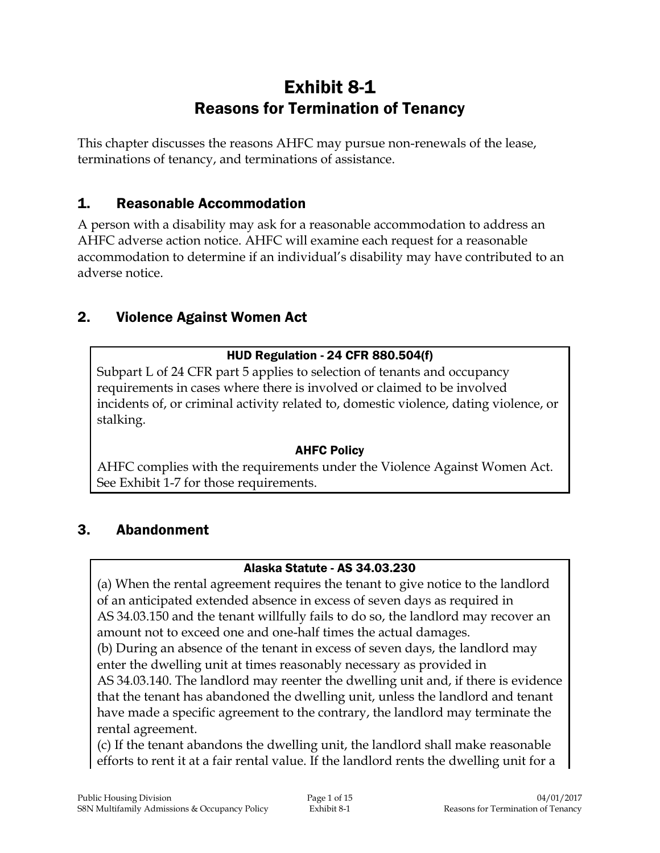# Exhibit 8-1 Reasons for Termination of Tenancy

This chapter discusses the reasons AHFC may pursue non-renewals of the lease, terminations of tenancy, and terminations of assistance.

## 1. Reasonable Accommodation

A person with a disability may ask for a reasonable accommodation to address an AHFC adverse action notice. AHFC will examine each request for a reasonable accommodation to determine if an individual's disability may have contributed to an adverse notice.

## 2. Violence Against Women Act

#### HUD Regulation - 24 CFR 880.504(f)

Subpart L of 24 CFR part 5 applies to selection of tenants and occupancy requirements in cases where there is involved or claimed to be involved incidents of, or criminal activity related to, domestic violence, dating violence, or stalking.

#### AHFC Policy

AHFC complies with the requirements under the Violence Against Women Act. See Exhibit 1-7 for those requirements.

## 3. Abandonment

#### Alaska Statute - AS 34.03.230

(a) When the rental agreement requires the tenant to give notice to the landlord of an anticipated extended absence in excess of seven days as required in AS 34.03.150 and the tenant willfully fails to do so, the landlord may recover an amount not to exceed one and one-half times the actual damages.

(b) During an absence of the tenant in excess of seven days, the landlord may enter the dwelling unit at times reasonably necessary as provided in

AS 34.03.140. The landlord may reenter the dwelling unit and, if there is evidence that the tenant has abandoned the dwelling unit, unless the landlord and tenant have made a specific agreement to the contrary, the landlord may terminate the rental agreement.

(c) If the tenant abandons the dwelling unit, the landlord shall make reasonable efforts to rent it at a fair rental value. If the landlord rents the dwelling unit for a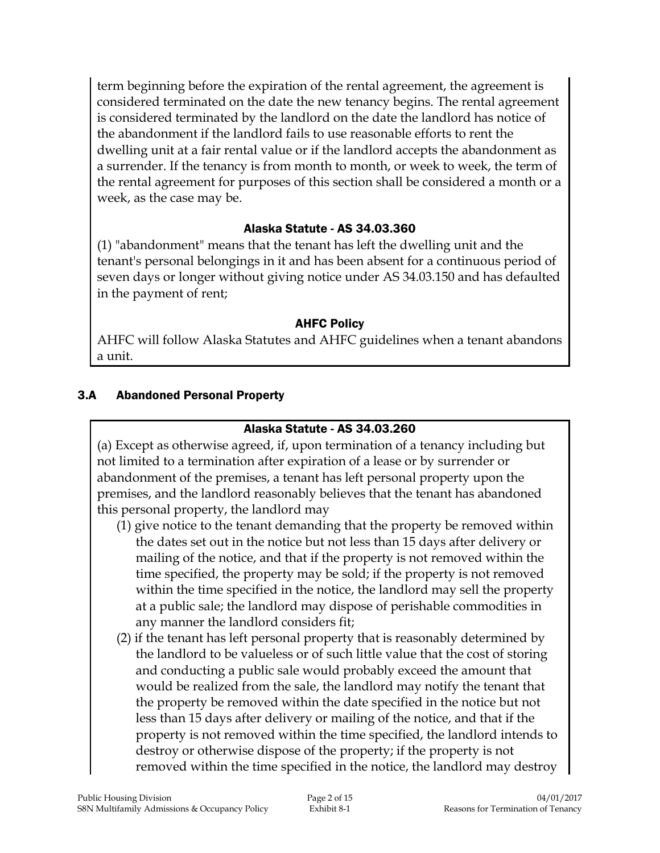term beginning before the expiration of the rental agreement, the agreement is considered terminated on the date the new tenancy begins. The rental agreement is considered terminated by the landlord on the date the landlord has notice of the abandonment if the landlord fails to use reasonable efforts to rent the dwelling unit at a fair rental value or if the landlord accepts the abandonment as a surrender. If the tenancy is from month to month, or week to week, the term of the rental agreement for purposes of this section shall be considered a month or a week, as the case may be.

#### Alaska Statute - AS 34.03.360

(1) "abandonment" means that the tenant has left the dwelling unit and the tenant's personal belongings in it and has been absent for a continuous period of seven days or longer without giving notice under AS 34.03.150 and has defaulted in the payment of rent;

#### AHFC Policy

AHFC will follow Alaska Statutes and AHFC guidelines when a tenant abandons a unit.

### 3.A Abandoned Personal Property

#### Alaska Statute - AS 34.03.260

(a) Except as otherwise agreed, if, upon termination of a tenancy including but not limited to a termination after expiration of a lease or by surrender or abandonment of the premises, a tenant has left personal property upon the premises, and the landlord reasonably believes that the tenant has abandoned this personal property, the landlord may

- (1) give notice to the tenant demanding that the property be removed within the dates set out in the notice but not less than 15 days after delivery or mailing of the notice, and that if the property is not removed within the time specified, the property may be sold; if the property is not removed within the time specified in the notice, the landlord may sell the property at a public sale; the landlord may dispose of perishable commodities in any manner the landlord considers fit;
- (2) if the tenant has left personal property that is reasonably determined by the landlord to be valueless or of such little value that the cost of storing and conducting a public sale would probably exceed the amount that would be realized from the sale, the landlord may notify the tenant that the property be removed within the date specified in the notice but not less than 15 days after delivery or mailing of the notice, and that if the property is not removed within the time specified, the landlord intends to destroy or otherwise dispose of the property; if the property is not removed within the time specified in the notice, the landlord may destroy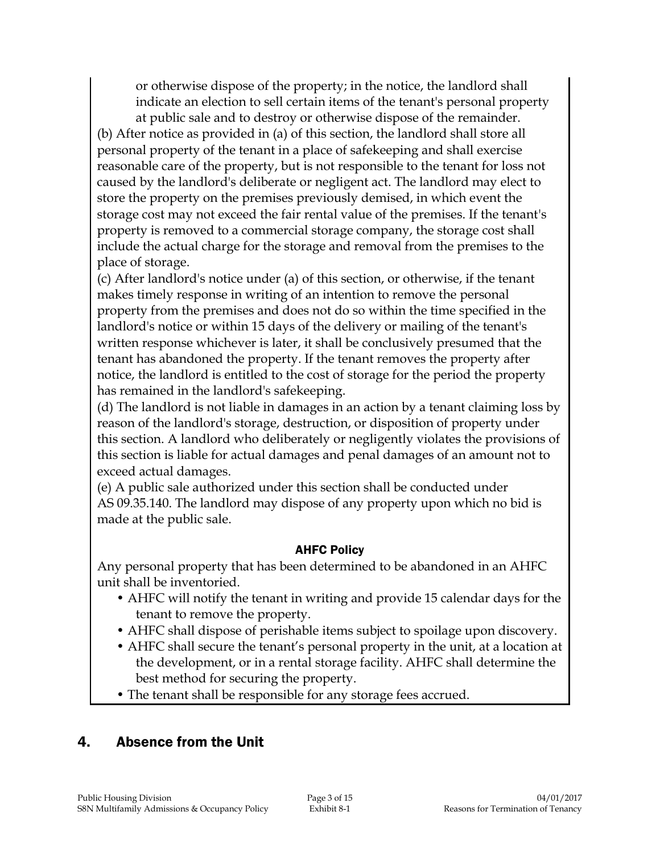or otherwise dispose of the property; in the notice, the landlord shall indicate an election to sell certain items of the tenant's personal property at public sale and to destroy or otherwise dispose of the remainder. (b) After notice as provided in (a) of this section, the landlord shall store all

personal property of the tenant in a place of safekeeping and shall exercise reasonable care of the property, but is not responsible to the tenant for loss not caused by the landlord's deliberate or negligent act. The landlord may elect to store the property on the premises previously demised, in which event the storage cost may not exceed the fair rental value of the premises. If the tenant's property is removed to a commercial storage company, the storage cost shall include the actual charge for the storage and removal from the premises to the place of storage.

(c) After landlord's notice under (a) of this section, or otherwise, if the tenant makes timely response in writing of an intention to remove the personal property from the premises and does not do so within the time specified in the landlord's notice or within 15 days of the delivery or mailing of the tenant's written response whichever is later, it shall be conclusively presumed that the tenant has abandoned the property. If the tenant removes the property after notice, the landlord is entitled to the cost of storage for the period the property has remained in the landlord's safekeeping.

(d) The landlord is not liable in damages in an action by a tenant claiming loss by reason of the landlord's storage, destruction, or disposition of property under this section. A landlord who deliberately or negligently violates the provisions of this section is liable for actual damages and penal damages of an amount not to exceed actual damages.

(e) A public sale authorized under this section shall be conducted under AS 09.35.140. The landlord may dispose of any property upon which no bid is made at the public sale.

#### AHFC Policy

Any personal property that has been determined to be abandoned in an AHFC unit shall be inventoried.

- AHFC will notify the tenant in writing and provide 15 calendar days for the tenant to remove the property.
- AHFC shall dispose of perishable items subject to spoilage upon discovery.
- AHFC shall secure the tenant's personal property in the unit, at a location at the development, or in a rental storage facility. AHFC shall determine the best method for securing the property.
- The tenant shall be responsible for any storage fees accrued.

## 4. Absence from the Unit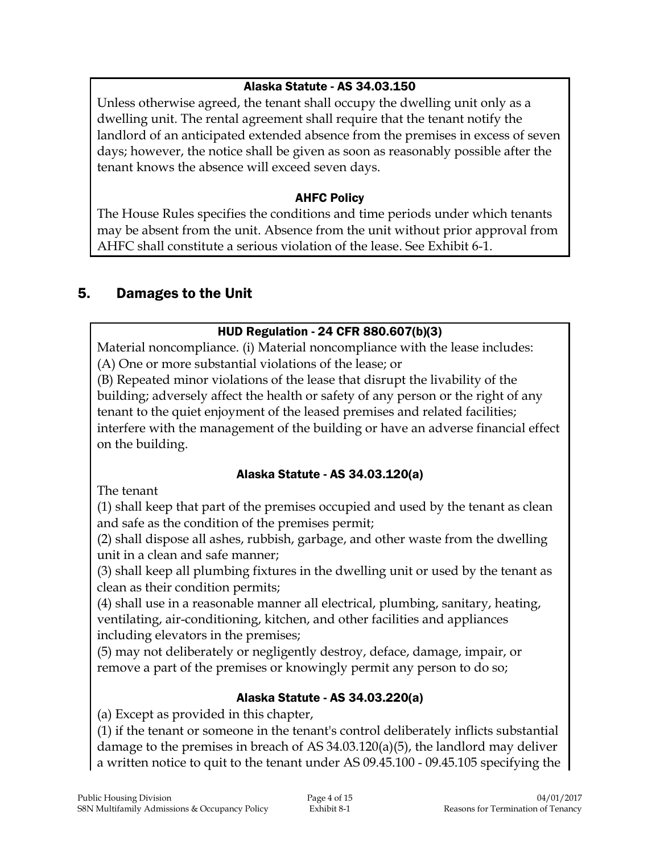### Alaska Statute - AS 34.03.150

Unless otherwise agreed, the tenant shall occupy the dwelling unit only as a dwelling unit. The rental agreement shall require that the tenant notify the landlord of an anticipated extended absence from the premises in excess of seven days; however, the notice shall be given as soon as reasonably possible after the tenant knows the absence will exceed seven days.

### AHFC Policy

The House Rules specifies the conditions and time periods under which tenants may be absent from the unit. Absence from the unit without prior approval from AHFC shall constitute a serious violation of the lease. See Exhibit 6-1.

## 5. Damages to the Unit

### HUD Regulation - 24 CFR 880.607(b)(3)

Material noncompliance. (i) Material noncompliance with the lease includes: (A) One or more substantial violations of the lease; or

(B) Repeated minor violations of the lease that disrupt the livability of the building; adversely affect the health or safety of any person or the right of any tenant to the quiet enjoyment of the leased premises and related facilities; interfere with the management of the building or have an adverse financial effect on the building.

#### Alaska Statute - AS 34.03.120(a)

The tenant

(1) shall keep that part of the premises occupied and used by the tenant as clean and safe as the condition of the premises permit;

(2) shall dispose all ashes, rubbish, garbage, and other waste from the dwelling unit in a clean and safe manner;

(3) shall keep all plumbing fixtures in the dwelling unit or used by the tenant as clean as their condition permits;

(4) shall use in a reasonable manner all electrical, plumbing, sanitary, heating, ventilating, air-conditioning, kitchen, and other facilities and appliances including elevators in the premises;

(5) may not deliberately or negligently destroy, deface, damage, impair, or remove a part of the premises or knowingly permit any person to do so;

#### Alaska Statute - AS 34.03.220(a)

(a) Except as provided in this chapter,

(1) if the tenant or someone in the tenant's control deliberately inflicts substantial damage to the premises in breach of AS 34.03.120(a)(5), the landlord may deliver a written notice to quit to the tenant under AS 09.45.100 - 09.45.105 specifying the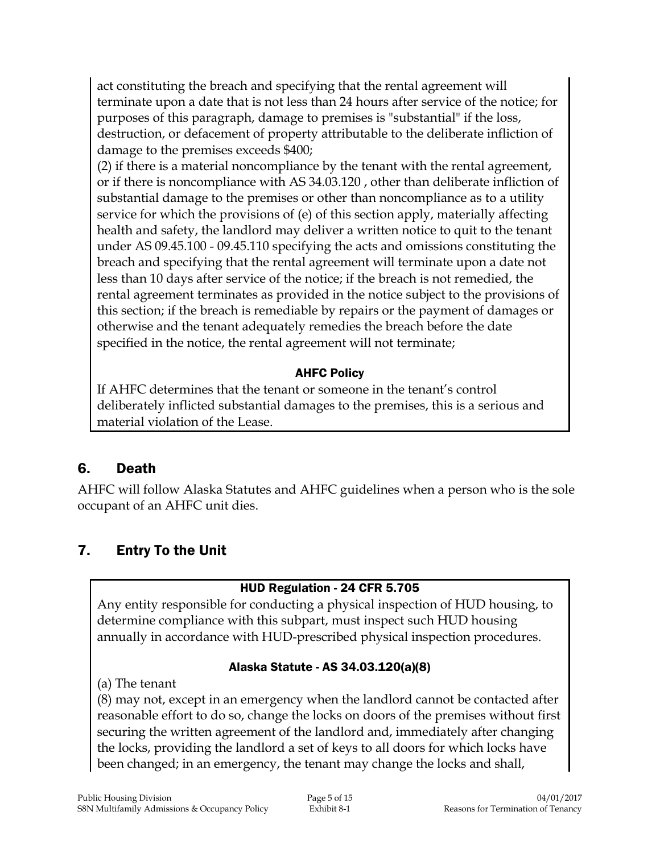act constituting the breach and specifying that the rental agreement will terminate upon a date that is not less than 24 hours after service of the notice; for purposes of this paragraph, damage to premises is "substantial" if the loss, destruction, or defacement of property attributable to the deliberate infliction of damage to the premises exceeds \$400;

(2) if there is a material noncompliance by the tenant with the rental agreement, or if there is noncompliance with AS 34.03.120 , other than deliberate infliction of substantial damage to the premises or other than noncompliance as to a utility service for which the provisions of (e) of this section apply, materially affecting health and safety, the landlord may deliver a written notice to quit to the tenant under AS 09.45.100 - 09.45.110 specifying the acts and omissions constituting the breach and specifying that the rental agreement will terminate upon a date not less than 10 days after service of the notice; if the breach is not remedied, the rental agreement terminates as provided in the notice subject to the provisions of this section; if the breach is remediable by repairs or the payment of damages or otherwise and the tenant adequately remedies the breach before the date specified in the notice, the rental agreement will not terminate;

#### AHFC Policy

If AHFC determines that the tenant or someone in the tenant's control deliberately inflicted substantial damages to the premises, this is a serious and material violation of the Lease.

## 6. Death

AHFC will follow Alaska Statutes and AHFC guidelines when a person who is the sole occupant of an AHFC unit dies.

## 7. Entry To the Unit

#### HUD Regulation - 24 CFR 5.705

Any entity responsible for conducting a physical inspection of HUD housing, to determine compliance with this subpart, must inspect such HUD housing annually in accordance with HUD-prescribed physical inspection procedures.

#### Alaska Statute - AS 34.03.120(a)(8)

(a) The tenant

(8) may not, except in an emergency when the landlord cannot be contacted after reasonable effort to do so, change the locks on doors of the premises without first securing the written agreement of the landlord and, immediately after changing the locks, providing the landlord a set of keys to all doors for which locks have been changed; in an emergency, the tenant may change the locks and shall,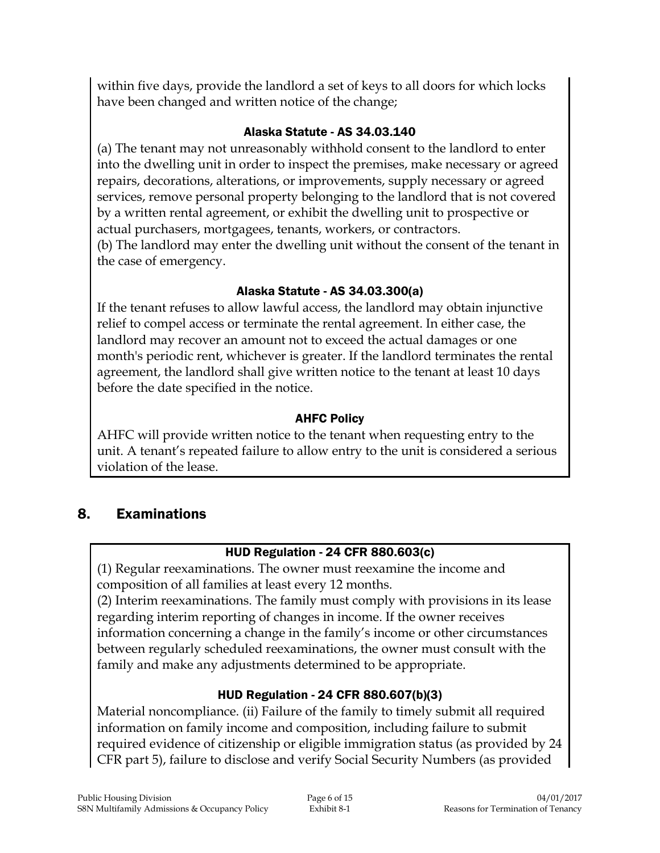within five days, provide the landlord a set of keys to all doors for which locks have been changed and written notice of the change;

#### Alaska Statute - AS 34.03.140

(a) The tenant may not unreasonably withhold consent to the landlord to enter into the dwelling unit in order to inspect the premises, make necessary or agreed repairs, decorations, alterations, or improvements, supply necessary or agreed services, remove personal property belonging to the landlord that is not covered by a written rental agreement, or exhibit the dwelling unit to prospective or actual purchasers, mortgagees, tenants, workers, or contractors. (b) The landlord may enter the dwelling unit without the consent of the tenant in the case of emergency.

### Alaska Statute - AS 34.03.300(a)

If the tenant refuses to allow lawful access, the landlord may obtain injunctive relief to compel access or terminate the rental agreement. In either case, the landlord may recover an amount not to exceed the actual damages or one month's periodic rent, whichever is greater. If the landlord terminates the rental agreement, the landlord shall give written notice to the tenant at least 10 days before the date specified in the notice.

### AHFC Policy

AHFC will provide written notice to the tenant when requesting entry to the unit. A tenant's repeated failure to allow entry to the unit is considered a serious violation of the lease.

## 8. Examinations

## HUD Regulation - 24 CFR 880.603(c)

(1) Regular reexaminations. The owner must reexamine the income and composition of all families at least every 12 months.

(2) Interim reexaminations. The family must comply with provisions in its lease regarding interim reporting of changes in income. If the owner receives information concerning a change in the family's income or other circumstances between regularly scheduled reexaminations, the owner must consult with the family and make any adjustments determined to be appropriate.

## HUD Regulation - 24 CFR 880.607(b)(3)

Material noncompliance. (ii) Failure of the family to timely submit all required information on family income and composition, including failure to submit required evidence of citizenship or eligible immigration status (as provided by 24 CFR part 5), failure to disclose and verify Social Security Numbers (as provided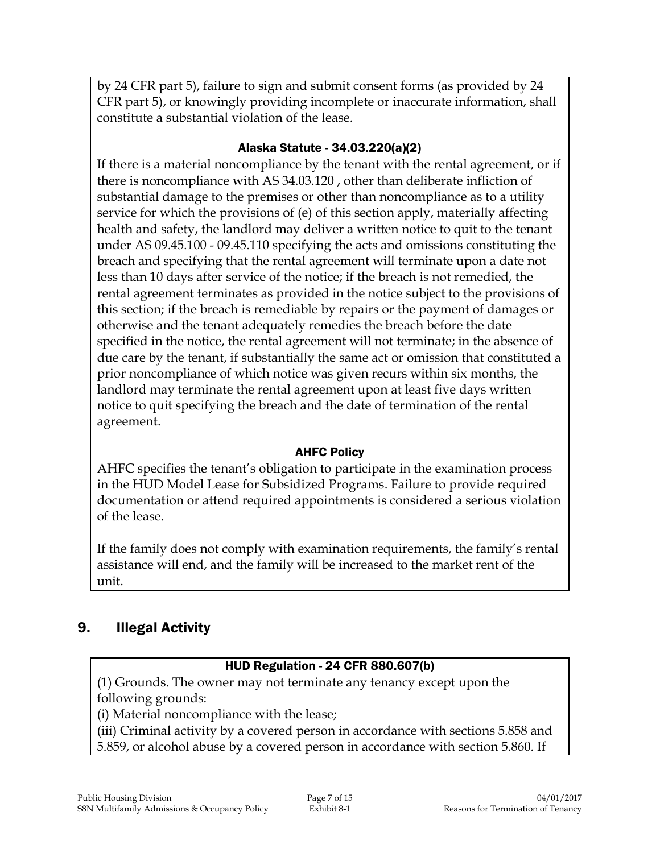by 24 CFR part 5), failure to sign and submit consent forms (as provided by 24 CFR part 5), or knowingly providing incomplete or inaccurate information, shall constitute a substantial violation of the lease.

#### Alaska Statute - 34.03.220(a)(2)

If there is a material noncompliance by the tenant with the rental agreement, or if there is noncompliance with AS 34.03.120 , other than deliberate infliction of substantial damage to the premises or other than noncompliance as to a utility service for which the provisions of (e) of this section apply, materially affecting health and safety, the landlord may deliver a written notice to quit to the tenant under AS 09.45.100 - 09.45.110 specifying the acts and omissions constituting the breach and specifying that the rental agreement will terminate upon a date not less than 10 days after service of the notice; if the breach is not remedied, the rental agreement terminates as provided in the notice subject to the provisions of this section; if the breach is remediable by repairs or the payment of damages or otherwise and the tenant adequately remedies the breach before the date specified in the notice, the rental agreement will not terminate; in the absence of due care by the tenant, if substantially the same act or omission that constituted a prior noncompliance of which notice was given recurs within six months, the landlord may terminate the rental agreement upon at least five days written notice to quit specifying the breach and the date of termination of the rental agreement.

#### AHFC Policy

AHFC specifies the tenant's obligation to participate in the examination process in the HUD Model Lease for Subsidized Programs. Failure to provide required documentation or attend required appointments is considered a serious violation of the lease.

If the family does not comply with examination requirements, the family's rental assistance will end, and the family will be increased to the market rent of the unit.

## 9. Illegal Activity

#### HUD Regulation - 24 CFR 880.607(b)

(1) Grounds. The owner may not terminate any tenancy except upon the following grounds:

(i) Material noncompliance with the lease;

(iii) Criminal activity by a covered person in accordance with sections 5.858 and

5.859, or alcohol abuse by a covered person in accordance with section 5.860. If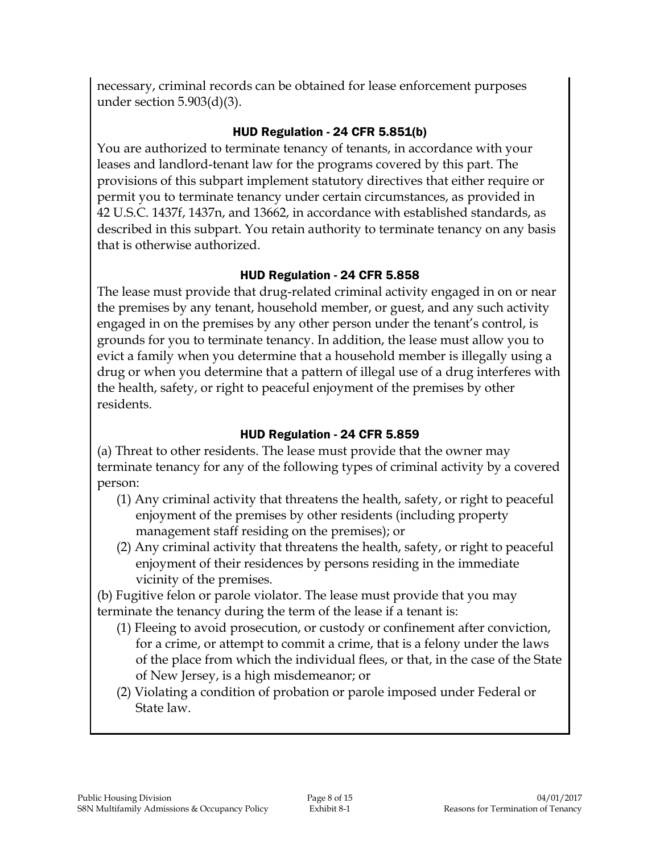necessary, criminal records can be obtained for lease enforcement purposes under section 5.903(d)(3).

#### HUD Regulation - 24 CFR 5.851(b)

You are authorized to terminate tenancy of tenants, in accordance with your leases and landlord-tenant law for the programs covered by this part. The provisions of this subpart implement statutory directives that either require or permit you to terminate tenancy under certain circumstances, as provided in 42 U.S.C. 1437f, 1437n, and 13662, in accordance with established standards, as described in this subpart. You retain authority to terminate tenancy on any basis that is otherwise authorized.

#### HUD Regulation - 24 CFR 5.858

The lease must provide that drug-related criminal activity engaged in on or near the premises by any tenant, household member, or guest, and any such activity engaged in on the premises by any other person under the tenant's control, is grounds for you to terminate tenancy. In addition, the lease must allow you to evict a family when you determine that a household member is illegally using a drug or when you determine that a pattern of illegal use of a drug interferes with the health, safety, or right to peaceful enjoyment of the premises by other residents.

#### HUD Regulation - 24 CFR 5.859

(a) Threat to other residents. The lease must provide that the owner may terminate tenancy for any of the following types of criminal activity by a covered person:

- (1) Any criminal activity that threatens the health, safety, or right to peaceful enjoyment of the premises by other residents (including property management staff residing on the premises); or
- (2) Any criminal activity that threatens the health, safety, or right to peaceful enjoyment of their residences by persons residing in the immediate vicinity of the premises.

(b) Fugitive felon or parole violator. The lease must provide that you may terminate the tenancy during the term of the lease if a tenant is:

- (1) Fleeing to avoid prosecution, or custody or confinement after conviction, for a crime, or attempt to commit a crime, that is a felony under the laws of the place from which the individual flees, or that, in the case of the State of New Jersey, is a high misdemeanor; or
- (2) Violating a condition of probation or parole imposed under Federal or State law.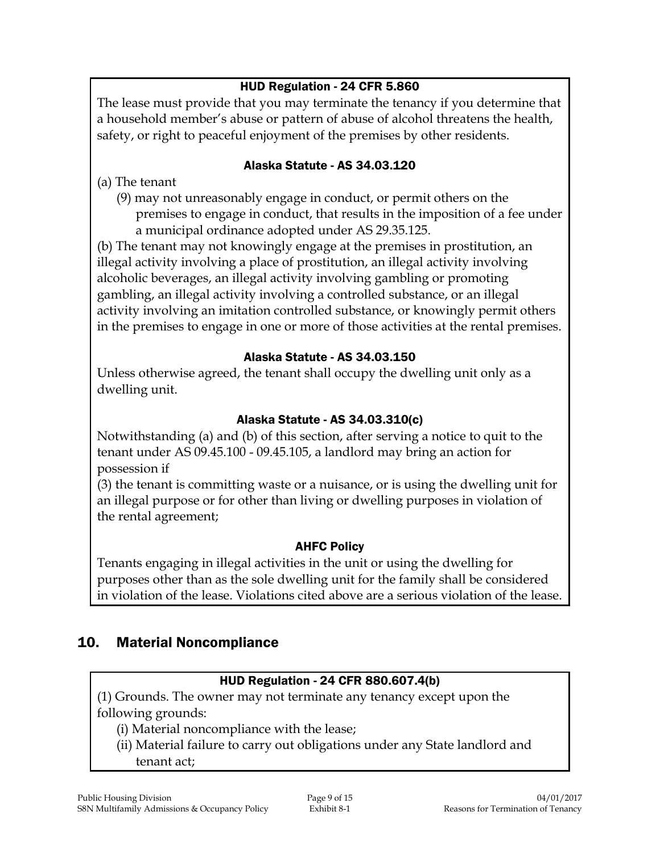#### HUD Regulation - 24 CFR 5.860

The lease must provide that you may terminate the tenancy if you determine that a household member's abuse or pattern of abuse of alcohol threatens the health, safety, or right to peaceful enjoyment of the premises by other residents.

#### Alaska Statute - AS 34.03.120

(a) The tenant

- (9) may not unreasonably engage in conduct, or permit others on the premises to engage in conduct, that results in the imposition of a fee under
	- a municipal ordinance adopted under AS 29.35.125.

(b) The tenant may not knowingly engage at the premises in prostitution, an illegal activity involving a place of prostitution, an illegal activity involving alcoholic beverages, an illegal activity involving gambling or promoting gambling, an illegal activity involving a controlled substance, or an illegal activity involving an imitation controlled substance, or knowingly permit others in the premises to engage in one or more of those activities at the rental premises.

#### Alaska Statute - AS 34.03.150

Unless otherwise agreed, the tenant shall occupy the dwelling unit only as a dwelling unit.

#### Alaska Statute - AS 34.03.310(c)

Notwithstanding (a) and (b) of this section, after serving a notice to quit to the tenant under AS 09.45.100 - 09.45.105, a landlord may bring an action for possession if

(3) the tenant is committing waste or a nuisance, or is using the dwelling unit for an illegal purpose or for other than living or dwelling purposes in violation of the rental agreement;

#### AHFC Policy

Tenants engaging in illegal activities in the unit or using the dwelling for purposes other than as the sole dwelling unit for the family shall be considered in violation of the lease. Violations cited above are a serious violation of the lease.

## 10. Material Noncompliance

#### HUD Regulation - 24 CFR 880.607.4(b)

(1) Grounds. The owner may not terminate any tenancy except upon the following grounds:

- (i) Material noncompliance with the lease;
- (ii) Material failure to carry out obligations under any State landlord and tenant act;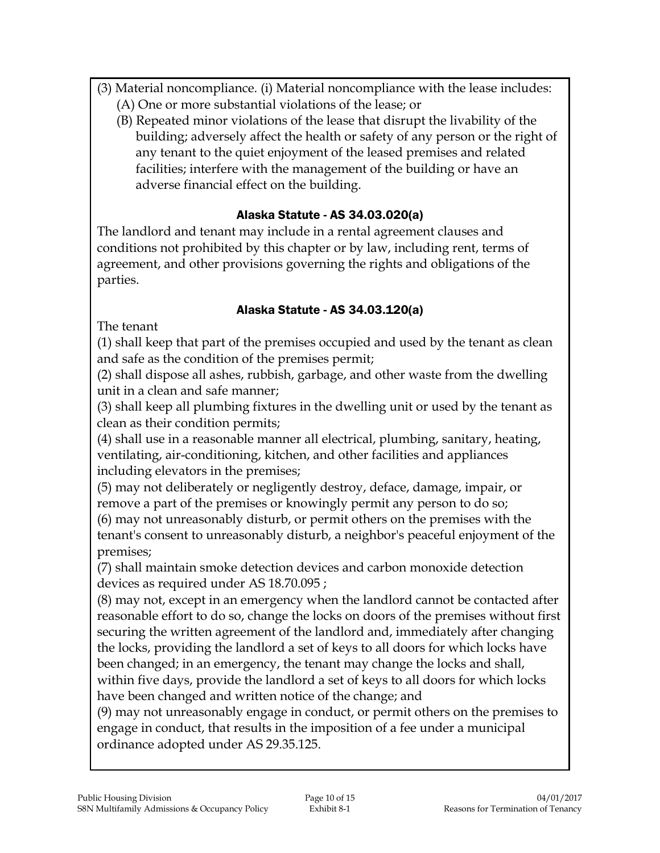- (3) Material noncompliance. (i) Material noncompliance with the lease includes:
	- (A) One or more substantial violations of the lease; or
	- (B) Repeated minor violations of the lease that disrupt the livability of the building; adversely affect the health or safety of any person or the right of any tenant to the quiet enjoyment of the leased premises and related facilities; interfere with the management of the building or have an adverse financial effect on the building.

#### Alaska Statute - AS 34.03.020(a)

The landlord and tenant may include in a rental agreement clauses and conditions not prohibited by this chapter or by law, including rent, terms of agreement, and other provisions governing the rights and obligations of the parties.

#### Alaska Statute - AS 34.03.120(a)

The tenant

(1) shall keep that part of the premises occupied and used by the tenant as clean and safe as the condition of the premises permit;

(2) shall dispose all ashes, rubbish, garbage, and other waste from the dwelling unit in a clean and safe manner;

(3) shall keep all plumbing fixtures in the dwelling unit or used by the tenant as clean as their condition permits;

(4) shall use in a reasonable manner all electrical, plumbing, sanitary, heating, ventilating, air-conditioning, kitchen, and other facilities and appliances including elevators in the premises;

(5) may not deliberately or negligently destroy, deface, damage, impair, or remove a part of the premises or knowingly permit any person to do so; (6) may not unreasonably disturb, or permit others on the premises with the tenant's consent to unreasonably disturb, a neighbor's peaceful enjoyment of the premises;

(7) shall maintain smoke detection devices and carbon monoxide detection devices as required under AS 18.70.095 ;

(8) may not, except in an emergency when the landlord cannot be contacted after reasonable effort to do so, change the locks on doors of the premises without first securing the written agreement of the landlord and, immediately after changing the locks, providing the landlord a set of keys to all doors for which locks have been changed; in an emergency, the tenant may change the locks and shall, within five days, provide the landlord a set of keys to all doors for which locks have been changed and written notice of the change; and

(9) may not unreasonably engage in conduct, or permit others on the premises to engage in conduct, that results in the imposition of a fee under a municipal ordinance adopted under AS 29.35.125.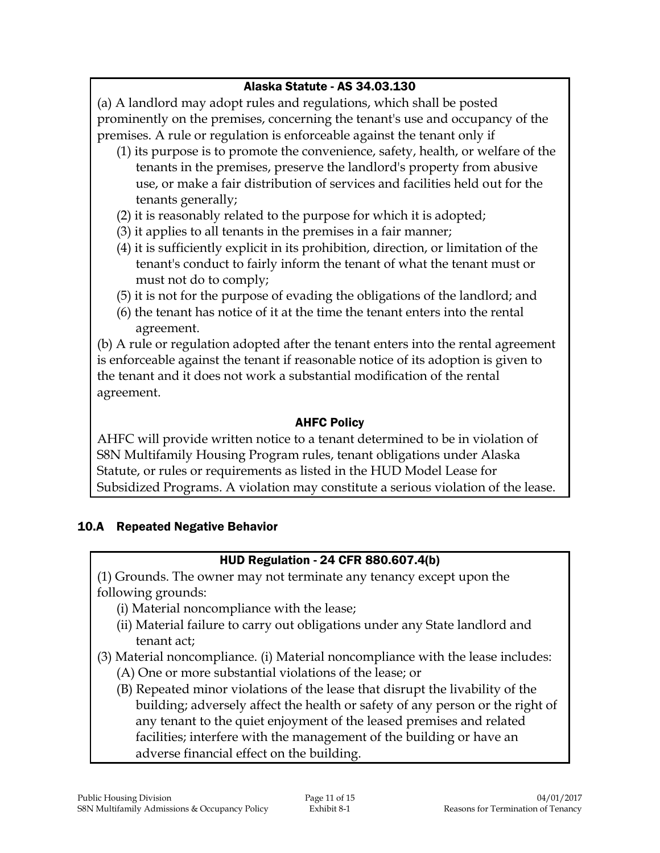#### Alaska Statute - AS 34.03.130

(a) A landlord may adopt rules and regulations, which shall be posted prominently on the premises, concerning the tenant's use and occupancy of the premises. A rule or regulation is enforceable against the tenant only if

- (1) its purpose is to promote the convenience, safety, health, or welfare of the tenants in the premises, preserve the landlord's property from abusive use, or make a fair distribution of services and facilities held out for the tenants generally;
- (2) it is reasonably related to the purpose for which it is adopted;
- (3) it applies to all tenants in the premises in a fair manner;
- (4) it is sufficiently explicit in its prohibition, direction, or limitation of the tenant's conduct to fairly inform the tenant of what the tenant must or must not do to comply;
- (5) it is not for the purpose of evading the obligations of the landlord; and
- (6) the tenant has notice of it at the time the tenant enters into the rental agreement.

(b) A rule or regulation adopted after the tenant enters into the rental agreement is enforceable against the tenant if reasonable notice of its adoption is given to the tenant and it does not work a substantial modification of the rental agreement.

### AHFC Policy

AHFC will provide written notice to a tenant determined to be in violation of S8N Multifamily Housing Program rules, tenant obligations under Alaska Statute, or rules or requirements as listed in the HUD Model Lease for Subsidized Programs. A violation may constitute a serious violation of the lease.

#### 10.A Repeated Negative Behavior

## HUD Regulation - 24 CFR 880.607.4(b)

(1) Grounds. The owner may not terminate any tenancy except upon the following grounds:

- (i) Material noncompliance with the lease;
- (ii) Material failure to carry out obligations under any State landlord and tenant act;
- (3) Material noncompliance. (i) Material noncompliance with the lease includes:
	- (A) One or more substantial violations of the lease; or
	- (B) Repeated minor violations of the lease that disrupt the livability of the building; adversely affect the health or safety of any person or the right of any tenant to the quiet enjoyment of the leased premises and related facilities; interfere with the management of the building or have an adverse financial effect on the building.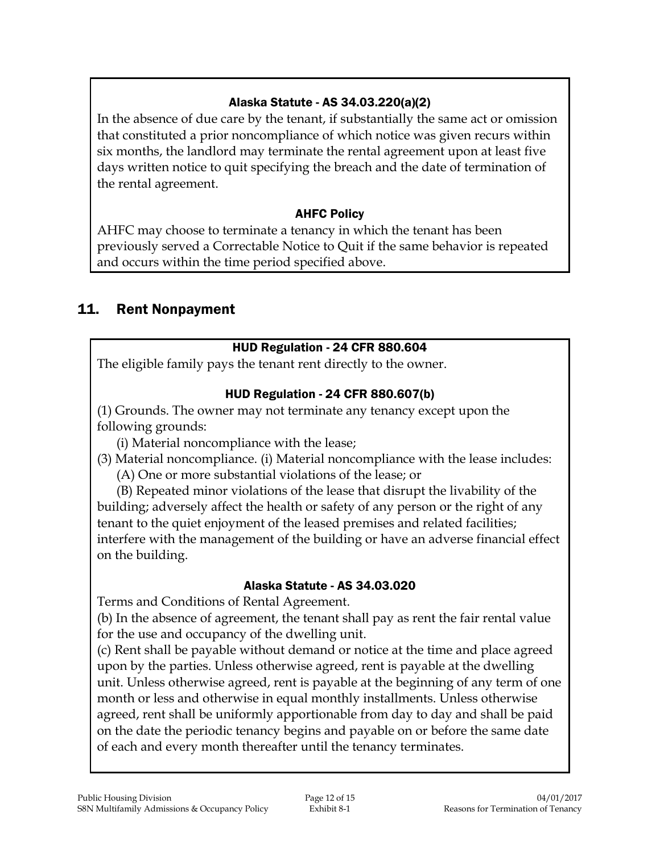### Alaska Statute - AS 34.03.220(a)(2)

In the absence of due care by the tenant, if substantially the same act or omission that constituted a prior noncompliance of which notice was given recurs within six months, the landlord may terminate the rental agreement upon at least five days written notice to quit specifying the breach and the date of termination of the rental agreement.

#### AHFC Policy

AHFC may choose to terminate a tenancy in which the tenant has been previously served a Correctable Notice to Quit if the same behavior is repeated and occurs within the time period specified above.

## 11. Rent Nonpayment

### HUD Regulation - 24 CFR 880.604

The eligible family pays the tenant rent directly to the owner.

#### HUD Regulation - 24 CFR 880.607(b)

(1) Grounds. The owner may not terminate any tenancy except upon the following grounds:

(i) Material noncompliance with the lease;

(3) Material noncompliance. (i) Material noncompliance with the lease includes: (A) One or more substantial violations of the lease; or

(B) Repeated minor violations of the lease that disrupt the livability of the building; adversely affect the health or safety of any person or the right of any tenant to the quiet enjoyment of the leased premises and related facilities; interfere with the management of the building or have an adverse financial effect on the building.

#### Alaska Statute - AS 34.03.020

Terms and Conditions of Rental Agreement.

(b) In the absence of agreement, the tenant shall pay as rent the fair rental value for the use and occupancy of the dwelling unit.

(c) Rent shall be payable without demand or notice at the time and place agreed upon by the parties. Unless otherwise agreed, rent is payable at the dwelling unit. Unless otherwise agreed, rent is payable at the beginning of any term of one month or less and otherwise in equal monthly installments. Unless otherwise agreed, rent shall be uniformly apportionable from day to day and shall be paid on the date the periodic tenancy begins and payable on or before the same date of each and every month thereafter until the tenancy terminates.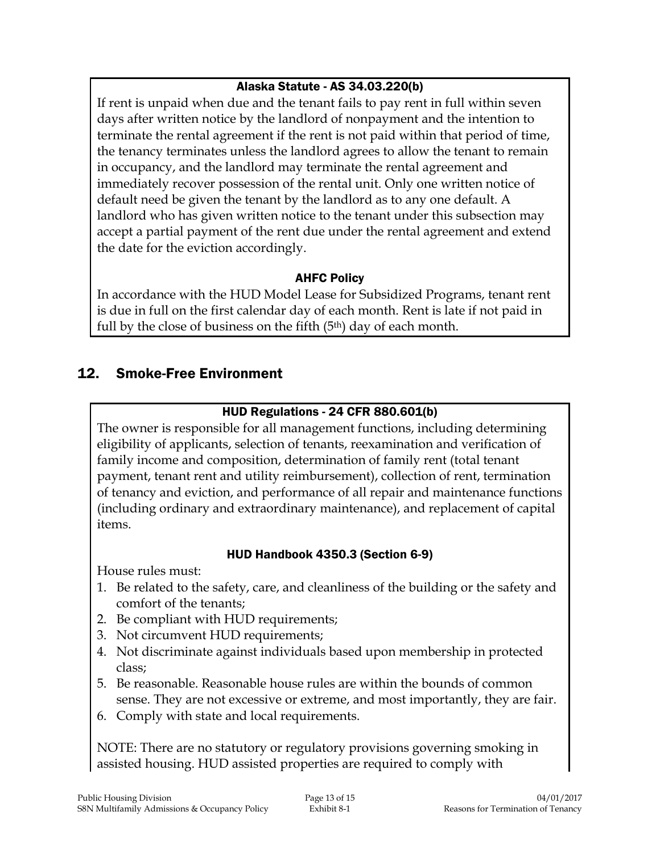#### Alaska Statute - AS 34.03.220(b)

If rent is unpaid when due and the tenant fails to pay rent in full within seven days after written notice by the landlord of nonpayment and the intention to terminate the rental agreement if the rent is not paid within that period of time, the tenancy terminates unless the landlord agrees to allow the tenant to remain in occupancy, and the landlord may terminate the rental agreement and immediately recover possession of the rental unit. Only one written notice of default need be given the tenant by the landlord as to any one default. A landlord who has given written notice to the tenant under this subsection may accept a partial payment of the rent due under the rental agreement and extend the date for the eviction accordingly.

#### AHFC Policy

In accordance with the HUD Model Lease for Subsidized Programs, tenant rent is due in full on the first calendar day of each month. Rent is late if not paid in full by the close of business on the fifth  $(5<sup>th</sup>)$  day of each month.

## 12. Smoke-Free Environment

#### HUD Regulations - 24 CFR 880.601(b)

The owner is responsible for all management functions, including determining eligibility of applicants, selection of tenants, reexamination and verification of family income and composition, determination of family rent (total tenant payment, tenant rent and utility reimbursement), collection of rent, termination of tenancy and eviction, and performance of all repair and maintenance functions (including ordinary and extraordinary maintenance), and replacement of capital items.

#### HUD Handbook 4350.3 (Section 6-9)

House rules must:

- 1. Be related to the safety, care, and cleanliness of the building or the safety and comfort of the tenants;
- 2. Be compliant with HUD requirements;
- 3. Not circumvent HUD requirements;
- 4. Not discriminate against individuals based upon membership in protected class;
- 5. Be reasonable. Reasonable house rules are within the bounds of common sense. They are not excessive or extreme, and most importantly, they are fair.
- 6. Comply with state and local requirements.

NOTE: There are no statutory or regulatory provisions governing smoking in assisted housing. HUD assisted properties are required to comply with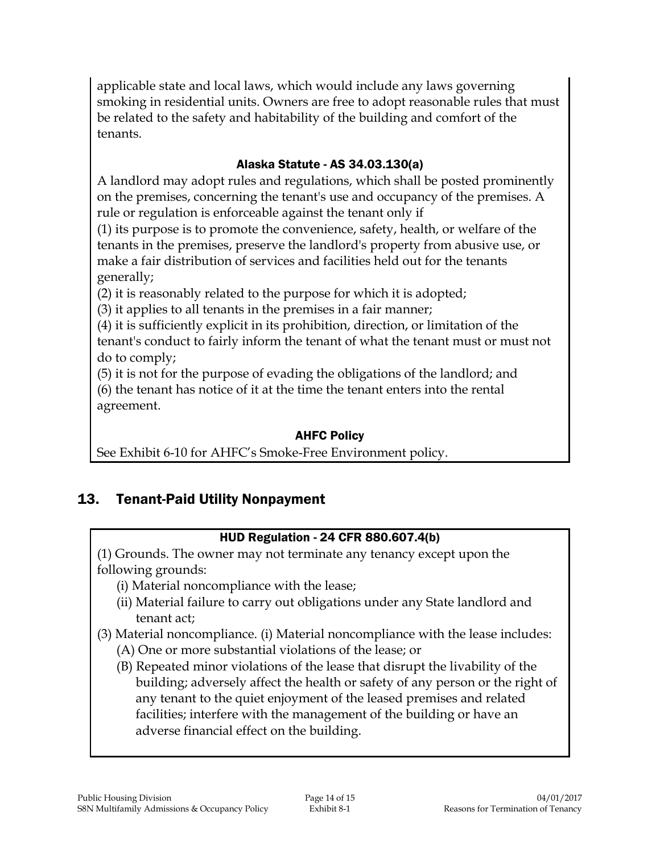applicable state and local laws, which would include any laws governing smoking in residential units. Owners are free to adopt reasonable rules that must be related to the safety and habitability of the building and comfort of the tenants.

### Alaska Statute - AS 34.03.130(a)

A landlord may adopt rules and regulations, which shall be posted prominently on the premises, concerning the tenant's use and occupancy of the premises. A rule or regulation is enforceable against the tenant only if

(1) its purpose is to promote the convenience, safety, health, or welfare of the tenants in the premises, preserve the landlord's property from abusive use, or make a fair distribution of services and facilities held out for the tenants generally;

(2) it is reasonably related to the purpose for which it is adopted;

(3) it applies to all tenants in the premises in a fair manner;

(4) it is sufficiently explicit in its prohibition, direction, or limitation of the tenant's conduct to fairly inform the tenant of what the tenant must or must not do to comply;

(5) it is not for the purpose of evading the obligations of the landlord; and (6) the tenant has notice of it at the time the tenant enters into the rental agreement.

#### AHFC Policy

See Exhibit 6-10 for AHFC's Smoke-Free Environment policy.

## 13. Tenant-Paid Utility Nonpayment

## HUD Regulation - 24 CFR 880.607.4(b)

(1) Grounds. The owner may not terminate any tenancy except upon the following grounds:

- (i) Material noncompliance with the lease;
- (ii) Material failure to carry out obligations under any State landlord and tenant act;
- (3) Material noncompliance. (i) Material noncompliance with the lease includes:
	- (A) One or more substantial violations of the lease; or
	- (B) Repeated minor violations of the lease that disrupt the livability of the building; adversely affect the health or safety of any person or the right of any tenant to the quiet enjoyment of the leased premises and related facilities; interfere with the management of the building or have an adverse financial effect on the building.